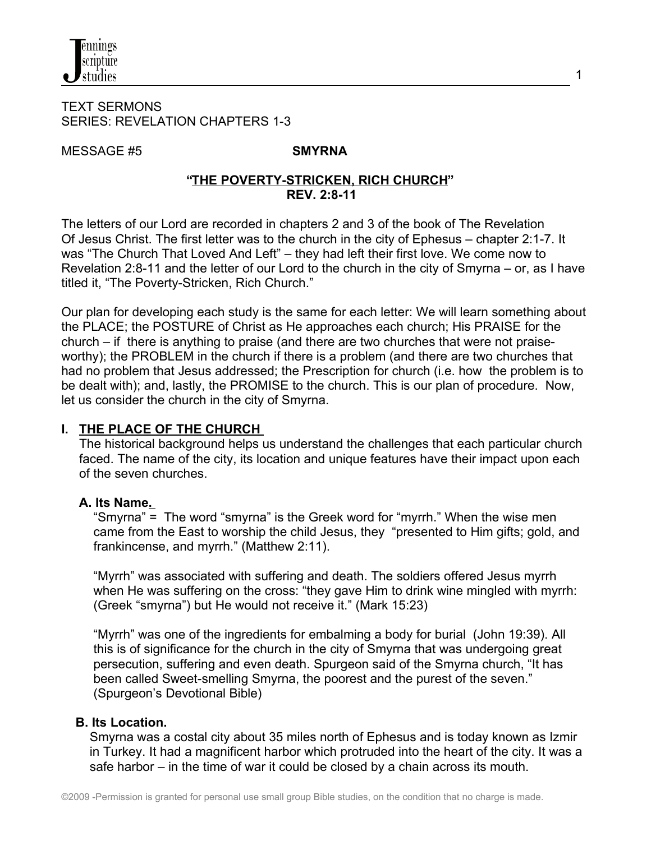

#### TEXT SERMONS SERIES: REVELATION CHAPTERS 1-3

MESSAGE #5 **SMYRNA**

#### **"THE POVERTY-STRICKEN, RICH CHURCH" REV. 2:8-11**

The letters of our Lord are recorded in chapters 2 and 3 of the book of The Revelation Of Jesus Christ. The first letter was to the church in the city of Ephesus – chapter 2:1-7. It was "The Church That Loved And Left" – they had left their first love. We come now to Revelation 2:8-11 and the letter of our Lord to the church in the city of Smyrna – or, as I have titled it, "The Poverty-Stricken, Rich Church."

Our plan for developing each study is the same for each letter: We will learn something about the PLACE; the POSTURE of Christ as He approaches each church; His PRAISE for the church – if there is anything to praise (and there are two churches that were not praiseworthy); the PROBLEM in the church if there is a problem (and there are two churches that had no problem that Jesus addressed; the Prescription for church (i.e. how the problem is to be dealt with); and, lastly, the PROMISE to the church. This is our plan of procedure. Now, let us consider the church in the city of Smyrna.

#### **I. THE PLACE OF THE CHURCH**

 The historical background helps us understand the challenges that each particular church faced. The name of the city, its location and unique features have their impact upon each of the seven churches.

#### **A. Its Name.**

 "Smyrna" = The word "smyrna" is the Greek word for "myrrh." When the wise men came from the East to worship the child Jesus, they "presented to Him gifts; gold, and frankincense, and myrrh." (Matthew 2:11).

 "Myrrh" was associated with suffering and death. The soldiers offered Jesus myrrh when He was suffering on the cross: "they gave Him to drink wine mingled with myrrh: (Greek "smyrna") but He would not receive it." (Mark 15:23)

 "Myrrh" was one of the ingredients for embalming a body for burial (John 19:39). All this is of significance for the church in the city of Smyrna that was undergoing great persecution, suffering and even death. Spurgeon said of the Smyrna church, "It has been called Sweet-smelling Smyrna, the poorest and the purest of the seven." (Spurgeon's Devotional Bible)

# **B. Its Location.**

Smyrna was a costal city about 35 miles north of Ephesus and is today known as Izmir in Turkey. It had a magnificent harbor which protruded into the heart of the city. It was a safe harbor – in the time of war it could be closed by a chain across its mouth.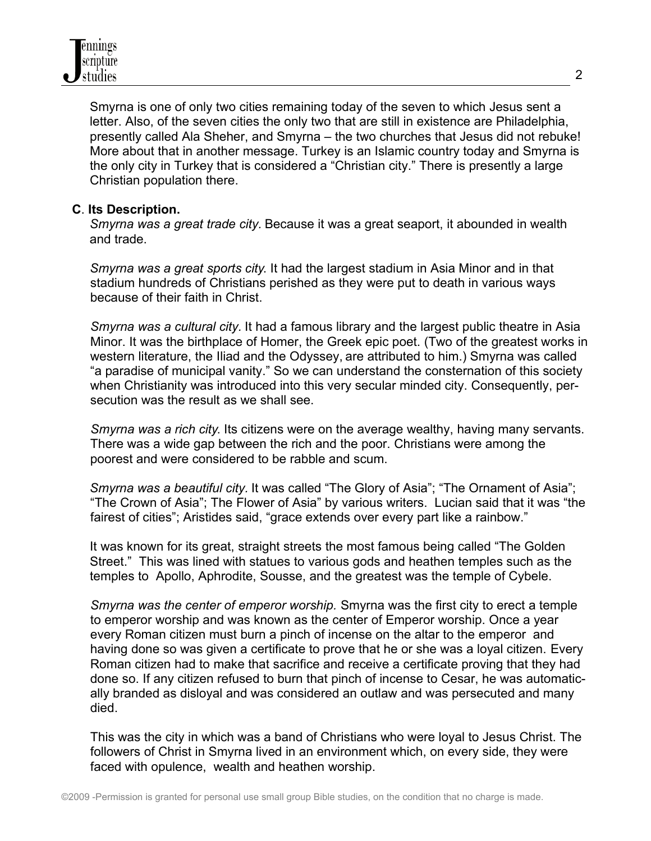Smyrna is one of only two cities remaining today of the seven to which Jesus sent a letter. Also, of the seven cities the only two that are still in existence are Philadelphia, presently called Ala Sheher, and Smyrna – the two churches that Jesus did not rebuke! More about that in another message. Turkey is an Islamic country today and Smyrna is the only city in Turkey that is considered a "Christian city." There is presently a large Christian population there.

### **C**. **Its Description.**

 *Smyrna was a great trade city.* Because it was a great seaport, it abounded in wealth and trade.

 *Smyrna was a great sports city*. It had the largest stadium in Asia Minor and in that stadium hundreds of Christians perished as they were put to death in various ways because of their faith in Christ.

*Smyrna was a cultural city.* It had a famous library and the largest public theatre in Asia Minor. It was the birthplace of Homer, the Greek epic poet. (Two of the greatest works in western literature, the Iliad and the Odyssey, are attributed to him.) Smyrna was called "a paradise of municipal vanity." So we can understand the consternation of this society when Christianity was introduced into this very secular minded city. Consequently, persecution was the result as we shall see.

 *Smyrna was a rich city*. Its citizens were on the average wealthy, having many servants. There was a wide gap between the rich and the poor. Christians were among the poorest and were considered to be rabble and scum.

 *Smyrna was a beautiful city.* It was called "The Glory of Asia"; "The Ornament of Asia"; "The Crown of Asia"; The Flower of Asia" by various writers. Lucian said that it was "the fairest of cities"; Aristides said, "grace extends over every part like a rainbow."

 It was known for its great, straight streets the most famous being called "The Golden Street." This was lined with statues to various gods and heathen temples such as the temples to Apollo, Aphrodite, Sousse, and the greatest was the temple of Cybele.

*Smyrna was the center of emperor worship.* Smyrna was the first city to erect a temple to emperor worship and was known as the center of Emperor worship. Once a year every Roman citizen must burn a pinch of incense on the altar to the emperor and having done so was given a certificate to prove that he or she was a loyal citizen. Every Roman citizen had to make that sacrifice and receive a certificate proving that they had done so. If any citizen refused to burn that pinch of incense to Cesar, he was automatically branded as disloyal and was considered an outlaw and was persecuted and many died.

This was the city in which was a band of Christians who were loyal to Jesus Christ. The followers of Christ in Smyrna lived in an environment which, on every side, they were faced with opulence, wealth and heathen worship.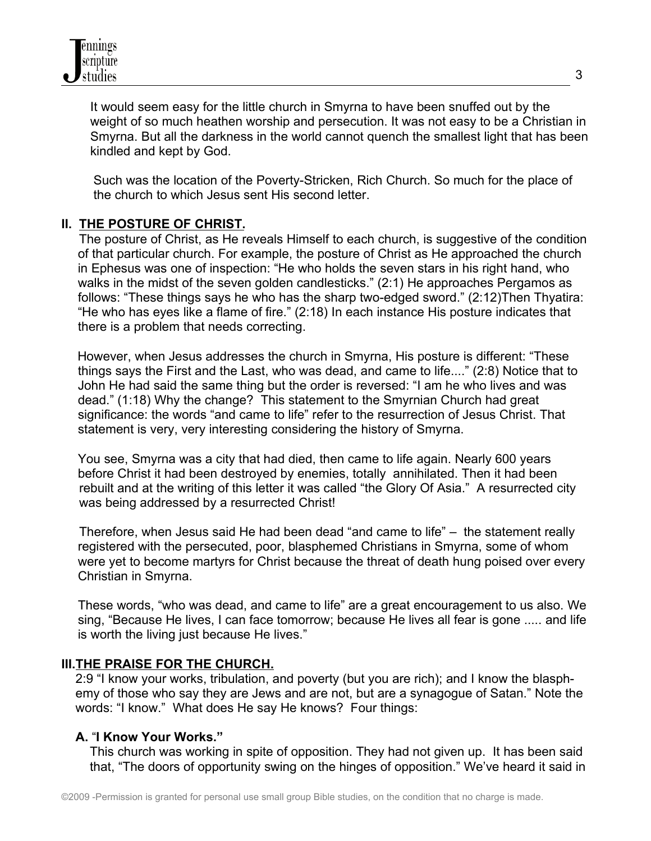It would seem easy for the little church in Smyrna to have been snuffed out by the weight of so much heathen worship and persecution. It was not easy to be a Christian in Smyrna. But all the darkness in the world cannot quench the smallest light that has been kindled and kept by God.

 Such was the location of the Poverty-Stricken, Rich Church. So much for the place of the church to which Jesus sent His second letter.

## **II. THE POSTURE OF CHRIST.**

The posture of Christ, as He reveals Himself to each church, is suggestive of the condition of that particular church. For example, the posture of Christ as He approached the church in Ephesus was one of inspection: "He who holds the seven stars in his right hand, who walks in the midst of the seven golden candlesticks." (2:1) He approaches Pergamos as follows: "These things says he who has the sharp two-edged sword." (2:12)Then Thyatira: "He who has eyes like a flame of fire." (2:18) In each instance His posture indicates that there is a problem that needs correcting.

However, when Jesus addresses the church in Smyrna, His posture is different: "These things says the First and the Last, who was dead, and came to life...." (2:8) Notice that to John He had said the same thing but the order is reversed: "I am he who lives and was dead." (1:18) Why the change? This statement to the Smyrnian Church had great significance: the words "and came to life" refer to the resurrection of Jesus Christ. That statement is very, very interesting considering the history of Smyrna.

You see, Smyrna was a city that had died, then came to life again. Nearly 600 years before Christ it had been destroyed by enemies, totally annihilated. Then it had been rebuilt and at the writing of this letter it was called "the Glory Of Asia." A resurrected city was being addressed by a resurrected Christ!

 Therefore, when Jesus said He had been dead "and came to life" – the statement really registered with the persecuted, poor, blasphemed Christians in Smyrna, some of whom were yet to become martyrs for Christ because the threat of death hung poised over every Christian in Smyrna.

These words, "who was dead, and came to life" are a great encouragement to us also. We sing, "Because He lives, I can face tomorrow; because He lives all fear is gone ..... and life is worth the living just because He lives."

#### **III.THE PRAISE FOR THE CHURCH.**

 2:9 "I know your works, tribulation, and poverty (but you are rich); and I know the blasph emy of those who say they are Jews and are not, but are a synagogue of Satan." Note the words: "I know." What does He say He knows? Four things:

#### **A.** "**I Know Your Works."**

 This church was working in spite of opposition. They had not given up. It has been said that, "The doors of opportunity swing on the hinges of opposition." We've heard it said in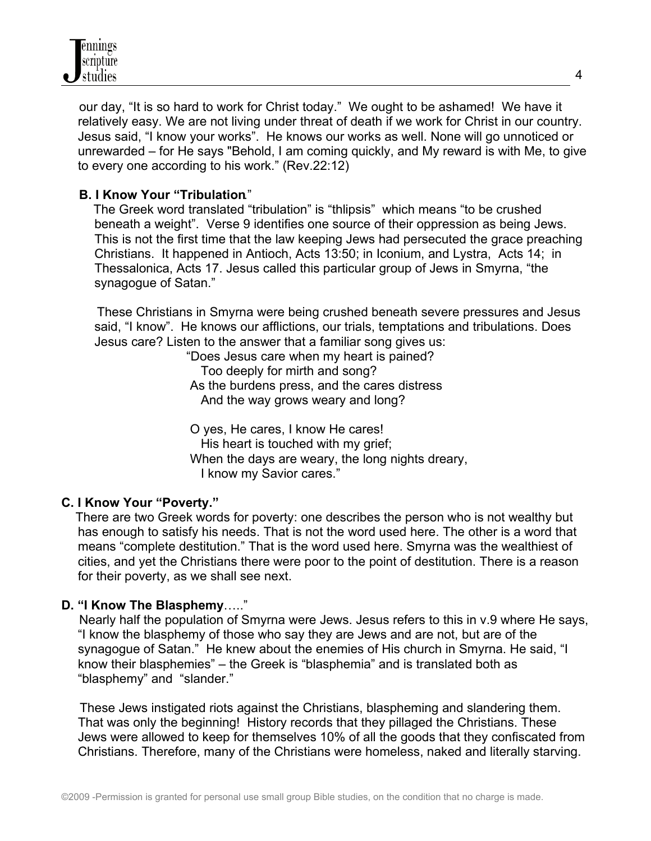

 our day, "It is so hard to work for Christ today." We ought to be ashamed! We have it relatively easy. We are not living under threat of death if we work for Christ in our country. Jesus said, "I know your works". He knows our works as well. None will go unnoticed or unrewarded – for He says "Behold, I am coming quickly, and My reward is with Me, to give to every one according to his work." (Rev.22:12)

### **B. I Know Your "Tribulation**."

 The Greek word translated "tribulation" is "thlipsis" which means "to be crushed beneath a weight". Verse 9 identifies one source of their oppression as being Jews. This is not the first time that the law keeping Jews had persecuted the grace preaching Christians. It happened in Antioch, Acts 13:50; in Iconium, and Lystra, Acts 14; in Thessalonica, Acts 17. Jesus called this particular group of Jews in Smyrna, "the synagogue of Satan."

 These Christians in Smyrna were being crushed beneath severe pressures and Jesus said, "I know". He knows our afflictions, our trials, temptations and tribulations. Does Jesus care? Listen to the answer that a familiar song gives us:

> "Does Jesus care when my heart is pained? Too deeply for mirth and song? As the burdens press, and the cares distress And the way grows weary and long?

 O yes, He cares, I know He cares! His heart is touched with my grief; When the days are weary, the long nights dreary, I know my Savior cares."

#### **C. I Know Your "Poverty."**

 There are two Greek words for poverty: one describes the person who is not wealthy but has enough to satisfy his needs. That is not the word used here. The other is a word that means "complete destitution." That is the word used here. Smyrna was the wealthiest of cities, and yet the Christians there were poor to the point of destitution. There is a reason for their poverty, as we shall see next.

# **D. "I Know The Blasphemy**….."

 Nearly half the population of Smyrna were Jews. Jesus refers to this in v.9 where He says, "I know the blasphemy of those who say they are Jews and are not, but are of the synagogue of Satan." He knew about the enemies of His church in Smyrna. He said, "I know their blasphemies" – the Greek is "blasphemia" and is translated both as "blasphemy" and "slander."

 These Jews instigated riots against the Christians, blaspheming and slandering them. That was only the beginning! History records that they pillaged the Christians. These Jews were allowed to keep for themselves 10% of all the goods that they confiscated from Christians. Therefore, many of the Christians were homeless, naked and literally starving.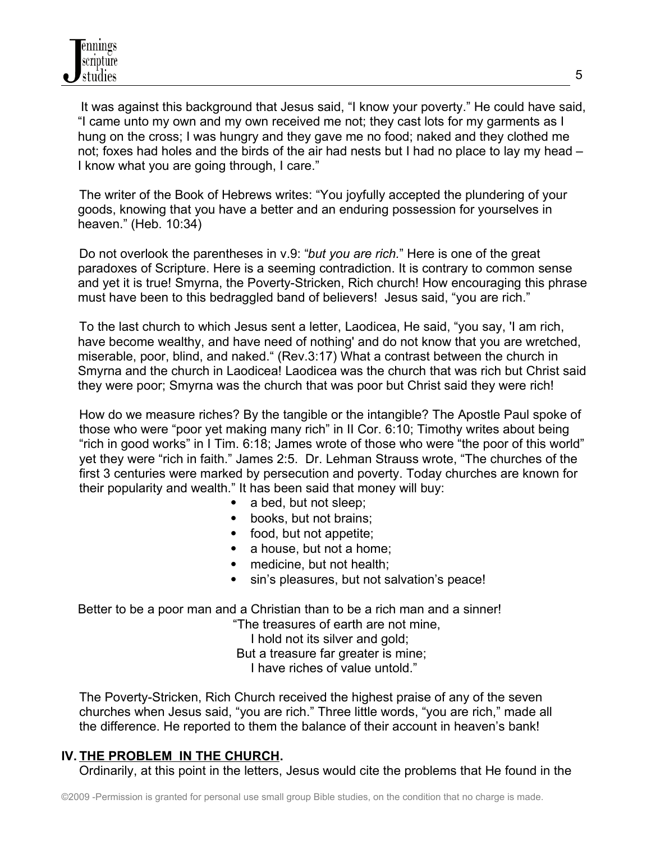It was against this background that Jesus said, "I know your poverty." He could have said, "I came unto my own and my own received me not; they cast lots for my garments as I hung on the cross; I was hungry and they gave me no food; naked and they clothed me not; foxes had holes and the birds of the air had nests but I had no place to lay my head – I know what you are going through, I care."

 The writer of the Book of Hebrews writes: "You joyfully accepted the plundering of your goods, knowing that you have a better and an enduring possession for yourselves in heaven." (Heb. 10:34)

 Do not overlook the parentheses in v.9: "*but you are rich.*" Here is one of the great paradoxes of Scripture. Here is a seeming contradiction. It is contrary to common sense and yet it is true! Smyrna, the Poverty-Stricken, Rich church! How encouraging this phrase must have been to this bedraggled band of believers! Jesus said, "you are rich."

 To the last church to which Jesus sent a letter, Laodicea, He said, "you say, 'I am rich, have become wealthy, and have need of nothing' and do not know that you are wretched, miserable, poor, blind, and naked." (Rev.3:17) What a contrast between the church in Smyrna and the church in Laodicea! Laodicea was the church that was rich but Christ said they were poor; Smyrna was the church that was poor but Christ said they were rich!

 How do we measure riches? By the tangible or the intangible? The Apostle Paul spoke of those who were "poor yet making many rich" in II Cor. 6:10; Timothy writes about being "rich in good works" in I Tim. 6:18; James wrote of those who were "the poor of this world" yet they were "rich in faith." James 2:5. Dr. Lehman Strauss wrote, "The churches of the first 3 centuries were marked by persecution and poverty. Today churches are known for their popularity and wealth." It has been said that money will buy:

- a bed, but not sleep;
- books, but not brains:
- food, but not appetite;
- a house, but not a home;
- medicine, but not health;
- sin's pleasures, but not salvation's peace!

Better to be a poor man and a Christian than to be a rich man and a sinner! "The treasures of earth are not mine,

 I hold not its silver and gold; But a treasure far greater is mine; I have riches of value untold."

 The Poverty-Stricken, Rich Church received the highest praise of any of the seven churches when Jesus said, "you are rich." Three little words, "you are rich," made all the difference. He reported to them the balance of their account in heaven's bank!

# **IV. THE PROBLEM IN THE CHURCH.**

Ordinarily, at this point in the letters, Jesus would cite the problems that He found in the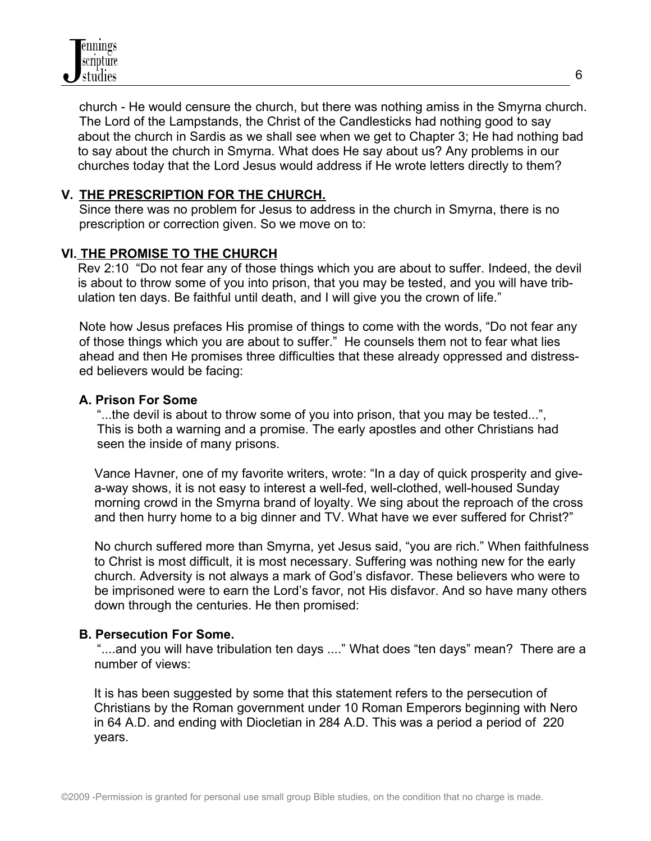

 church - He would censure the church, but there was nothing amiss in the Smyrna church. The Lord of the Lampstands, the Christ of the Candlesticks had nothing good to say about the church in Sardis as we shall see when we get to Chapter 3; He had nothing bad to say about the church in Smyrna. What does He say about us? Any problems in our churches today that the Lord Jesus would address if He wrote letters directly to them?

### **V. THE PRESCRIPTION FOR THE CHURCH.**

 Since there was no problem for Jesus to address in the church in Smyrna, there is no prescription or correction given. So we move on to:

## **VI. THE PROMISE TO THE CHURCH**

Rev 2:10 "Do not fear any of those things which you are about to suffer. Indeed, the devil is about to throw some of you into prison, that you may be tested, and you will have tribulation ten days. Be faithful until death, and I will give you the crown of life."

 Note how Jesus prefaces His promise of things to come with the words, "Do not fear any of those things which you are about to suffer." He counsels them not to fear what lies ahead and then He promises three difficulties that these already oppressed and distress ed believers would be facing:

#### **A. Prison For Some**

 "...the devil is about to throw some of you into prison, that you may be tested...", This is both a warning and a promise. The early apostles and other Christians had seen the inside of many prisons.

Vance Havner, one of my favorite writers, wrote: "In a day of quick prosperity and givea-way shows, it is not easy to interest a well-fed, well-clothed, well-housed Sunday morning crowd in the Smyrna brand of loyalty. We sing about the reproach of the cross and then hurry home to a big dinner and TV. What have we ever suffered for Christ?"

No church suffered more than Smyrna, yet Jesus said, "you are rich." When faithfulness to Christ is most difficult, it is most necessary. Suffering was nothing new for the early church. Adversity is not always a mark of God's disfavor. These believers who were to be imprisoned were to earn the Lord's favor, not His disfavor. And so have many others down through the centuries. He then promised:

#### **B. Persecution For Some.**

 "....and you will have tribulation ten days ...." What does "ten days" mean? There are a number of views:

It is has been suggested by some that this statement refers to the persecution of Christians by the Roman government under 10 Roman Emperors beginning with Nero in 64 A.D. and ending with Diocletian in 284 A.D. This was a period a period of 220 years.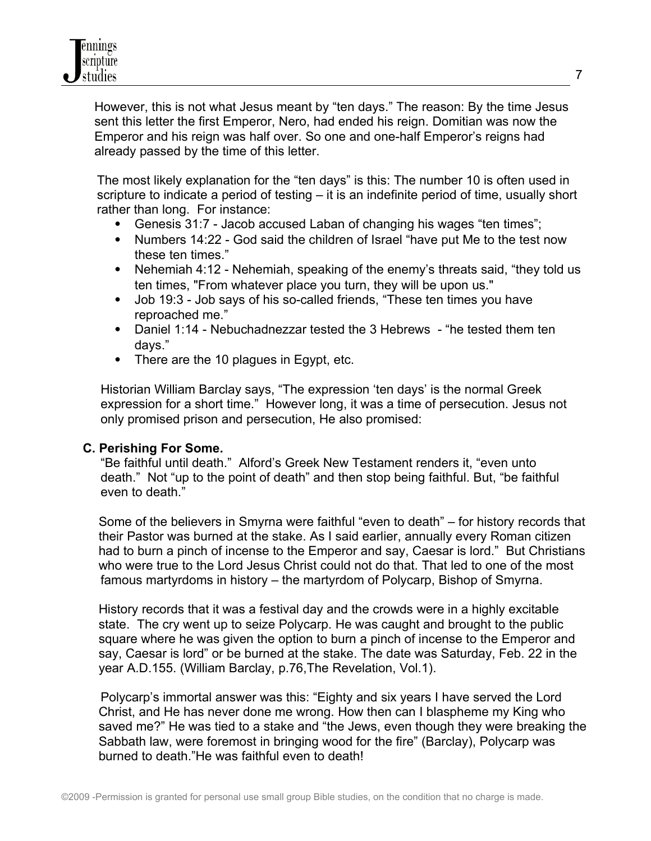However, this is not what Jesus meant by "ten days." The reason: By the time Jesus sent this letter the first Emperor, Nero, had ended his reign. Domitian was now the Emperor and his reign was half over. So one and one-half Emperor's reigns had already passed by the time of this letter.

 The most likely explanation for the "ten days" is this: The number 10 is often used in scripture to indicate a period of testing – it is an indefinite period of time, usually short rather than long. For instance:

- Genesis 31:7 Jacob accused Laban of changing his wages "ten times";
- Numbers 14:22 God said the children of Israel "have put Me to the test now these ten times."
- Nehemiah 4:12 Nehemiah, speaking of the enemy's threats said, "they told us ten times, "From whatever place you turn, they will be upon us."
- Job 19:3 Job says of his so-called friends, "These ten times you have reproached me."
- Daniel 1:14 Nebuchadnezzar tested the 3 Hebrews "he tested them ten days."
- There are the 10 plagues in Egypt, etc.

 Historian William Barclay says, "The expression 'ten days' is the normal Greek expression for a short time." However long, it was a time of persecution. Jesus not only promised prison and persecution, He also promised:

# **C. Perishing For Some.**

 "Be faithful until death." Alford's Greek New Testament renders it, "even unto death." Not "up to the point of death" and then stop being faithful. But, "be faithful even to death."

Some of the believers in Smyrna were faithful "even to death" – for history records that their Pastor was burned at the stake. As I said earlier, annually every Roman citizen had to burn a pinch of incense to the Emperor and say, Caesar is lord." But Christians who were true to the Lord Jesus Christ could not do that. That led to one of the most famous martyrdoms in history – the martyrdom of Polycarp, Bishop of Smyrna.

History records that it was a festival day and the crowds were in a highly excitable state. The cry went up to seize Polycarp. He was caught and brought to the public square where he was given the option to burn a pinch of incense to the Emperor and say, Caesar is lord" or be burned at the stake. The date was Saturday, Feb. 22 in the year A.D.155. (William Barclay, p.76,The Revelation, Vol.1).

 Polycarp's immortal answer was this: "Eighty and six years I have served the Lord Christ, and He has never done me wrong. How then can I blaspheme my King who saved me?" He was tied to a stake and "the Jews, even though they were breaking the Sabbath law, were foremost in bringing wood for the fire" (Barclay), Polycarp was burned to death."He was faithful even to death!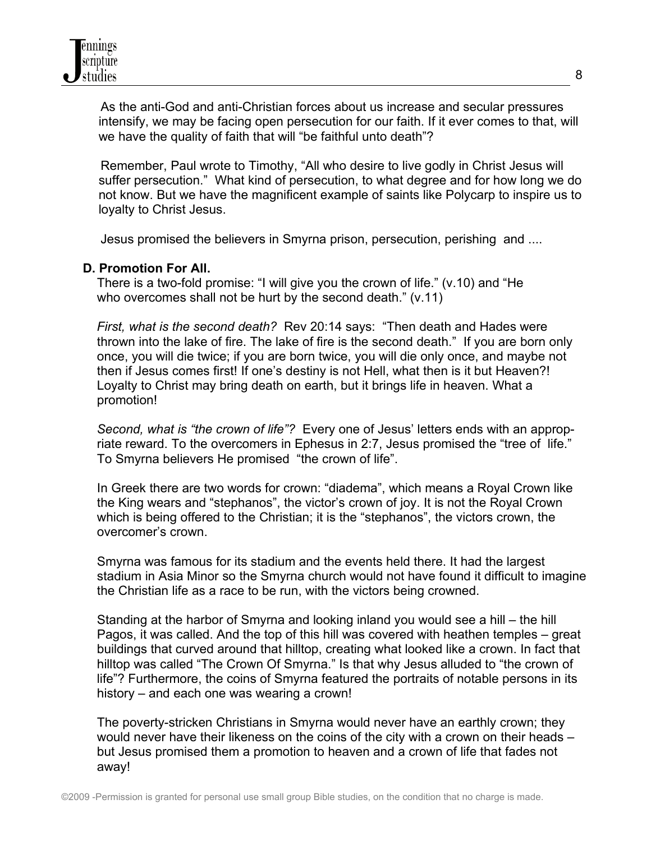As the anti-God and anti-Christian forces about us increase and secular pressures intensify, we may be facing open persecution for our faith. If it ever comes to that, will we have the quality of faith that will "be faithful unto death"?

 Remember, Paul wrote to Timothy, "All who desire to live godly in Christ Jesus will suffer persecution." What kind of persecution, to what degree and for how long we do not know. But we have the magnificent example of saints like Polycarp to inspire us to loyalty to Christ Jesus.

Jesus promised the believers in Smyrna prison, persecution, perishing and ....

#### **D. Promotion For All.**

 There is a two-fold promise: "I will give you the crown of life." (v.10) and "He who overcomes shall not be hurt by the second death." (v.11)

 *First, what is the second death?* Rev 20:14 says: "Then death and Hades were thrown into the lake of fire. The lake of fire is the second death." If you are born only once, you will die twice; if you are born twice, you will die only once, and maybe not then if Jesus comes first! If one's destiny is not Hell, what then is it but Heaven?! Loyalty to Christ may bring death on earth, but it brings life in heaven. What a promotion!

 *Second, what is "the crown of life"?* Every one of Jesus' letters ends with an approp riate reward. To the overcomers in Ephesus in 2:7, Jesus promised the "tree of life." To Smyrna believers He promised "the crown of life".

 In Greek there are two words for crown: "diadema", which means a Royal Crown like the King wears and "stephanos", the victor's crown of joy. It is not the Royal Crown which is being offered to the Christian; it is the "stephanos", the victors crown, the overcomer's crown.

 Smyrna was famous for its stadium and the events held there. It had the largest stadium in Asia Minor so the Smyrna church would not have found it difficult to imagine the Christian life as a race to be run, with the victors being crowned.

 Standing at the harbor of Smyrna and looking inland you would see a hill – the hill Pagos, it was called. And the top of this hill was covered with heathen temples – great buildings that curved around that hilltop, creating what looked like a crown. In fact that hilltop was called "The Crown Of Smyrna." Is that why Jesus alluded to "the crown of life"? Furthermore, the coins of Smyrna featured the portraits of notable persons in its history – and each one was wearing a crown!

 The poverty-stricken Christians in Smyrna would never have an earthly crown; they would never have their likeness on the coins of the city with a crown on their heads – but Jesus promised them a promotion to heaven and a crown of life that fades not away!